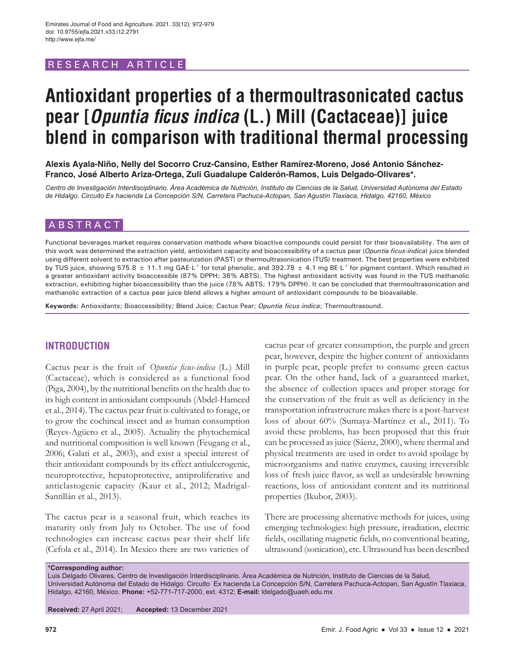# RESEARCH ARTICLE

# **Antioxidant properties of a thermoultrasonicated cactus pear [Opuntia ficus indica (L.) Mill (Cactaceae)] juice blend in comparison with traditional thermal processing**

**Alexis Ayala-Niño, Nelly del Socorro Cruz-Cansino, Esther Ramírez-Moreno, José Antonio Sánchez-Franco, José Alberto Ariza-Ortega, Zuli Guadalupe Calderón-Ramos, Luis Delgado-Olivares\*.**

*Centro de Investigación Interdisciplinario. Área Académica de Nutrición, Instituto de Ciencias de la Salud, Universidad Autónoma del Estado de Hidalgo. Circuito Ex hacienda La Concepción S/N, Carretera Pachuca-Actopan, San Agustín Tlaxiaca, Hidalgo, 42160, México*

# ABSTRACT

Functional beverages market requires conservation methods where bioactive compounds could persist for their bioavailability. The aim of this work was determined the extraction yield, antioxidant capacity and bioaccessibility of a cactus pear (*Opuntia ficus-indica*) juice blended using different solvent to extraction after pasteurization (PAST) or thermoultrasonication (TUS) treatment. The best properties were exhibited by TUS juice, showing 575.8  $\pm$  11.1 mg GAE·L<sup>-1</sup> for total phenolic, and 392.78  $\pm$  4.1 mg BE·L<sup>-1</sup> for pigment content. Which resulted in a greater antioxidant activity bioaccessible (87% DPPH; 38% ABTS). The highest antioxidant activity was found in the TUS methanolic extraction, exhibiting higher bioaccessibility than the juice (78% ABTS; 179% DPPH). It can be concluded that thermoultrasonication and methanolic extraction of a cactus pear juice blend allows a higher amount of antioxidant compounds to be bioavailable.

**Keywords:** Antioxidants; Bioaccessibility; Blend Juice; Cactus Pear; *Opuntia ficus indica*; Thermoultrasound.

# **INTRODUCTION**

Cactus pear is the fruit of *Opuntia ficus-indica* (L.) Mill (Cactaceae), which is considered as a functional food (Piga, 2004), by the nutritional benefits on the health due to its high content in antioxidant compounds (Abdel-Hameed et al., 2014). The cactus pear fruit is cultivated to forage, or to grow the cochineal insect and as human consumption (Reyes-Agüero et al., 2005). Actuality the phytochemical and nutritional composition is well known (Feugang et al., 2006; Galati et al., 2003), and exist a special interest of their antioxidant compounds by its effect antiulcerogenic, neuroprotective, hepatoprotective, antiproliferative and anticlastogenic capacity (Kaur et al., 2012; Madrigal-Santillán et al., 2013).

The cactus pear is a seasonal fruit, which reaches its maturity only from July to October. The use of food technologies can increase cactus pear their shelf life (Cefola et al., 2014). In Mexico there are two varieties of

cactus pear of greater consumption, the purple and green pear, however, despite the higher content of antioxidants in purple pear, people prefer to consume green cactus pear. On the other hand, lack of a guaranteed market, the absence of collection spaces and proper storage for the conservation of the fruit as well as deficiency in the transportation infrastructure makes there is a post-harvest loss of about 60% (Sumaya-Martínez et al., 2011). To avoid these problems, has been proposed that this fruit can be processed as juice (Sáenz, 2000), where thermal and physical treatments are used in order to avoid spoilage by microorganisms and native enzymes, causing irreversible loss of fresh juice flavor, as well as undesirable browning reactions, loss of antioxidant content and its nutritional properties (Ikubor, 2003).

There are processing alternative methods for juices, using emerging technologies: high pressure, irradiation, electric fields, oscillating magnetic fields, no conventional heating, ultrasound (sonication), etc. Ultrasound has been described

**\*Corresponding author:**

Luis Delgado Olivares, Centro de Investigación Interdisciplinario. Área Académica de Nutrición, Instituto de Ciencias de la Salud, Universidad Autónoma del Estado de Hidalgo. Circuito Ex hacienda La Concepción S/N, Carretera Pachuca-Actopan, San Agustín Tlaxiaca, Hidalgo, 42160, México. **Phone:** +52-771-717-2000, ext. 4312; **E-mail:** ldelgado@uaeh.edu.mx

**Received:** 27 April 2021; **Accepted:** 13 December 2021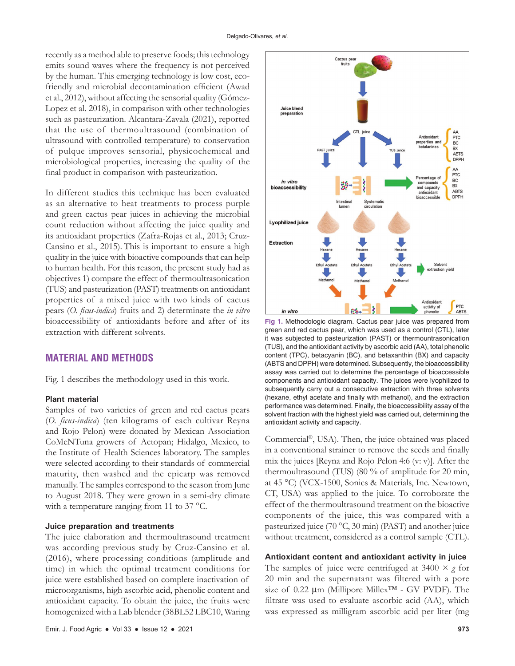recently as a method able to preserve foods; this technology emits sound waves where the frequency is not perceived by the human. This emerging technology is low cost, ecofriendly and microbial decontamination efficient (Awad et al., 2012), without affecting the sensorial quality (Gómez-Lopez et al. 2018), in comparison with other technologies such as pasteurization. Alcantara-Zavala (2021), reported that the use of thermoultrasound (combination of ultrasound with controlled temperature) to conservation of pulque improves sensorial, physicochemical and microbiological properties, increasing the quality of the final product in comparison with pasteurization.

In different studies this technique has been evaluated as an alternative to heat treatments to process purple and green cactus pear juices in achieving the microbial count reduction without affecting the juice quality and its antioxidant properties (Zafra-Rojas et al., 2013; Cruz-Cansino et al., 2015). This is important to ensure a high quality in the juice with bioactive compounds that can help to human health. For this reason, the present study had as objectives 1) compare the effect of thermoultrasonication (TUS) and pasteurization (PAST) treatments on antioxidant properties of a mixed juice with two kinds of cactus pears (*O. ficus-indica*) fruits and 2) determinate the *in vitro* bioaccessibility of antioxidants before and after of its extraction with different solvents.

# **MATERIAL AND METHODS**

Fig. 1 describes the methodology used in this work.

## **Plant material**

Samples of two varieties of green and red cactus pears (*O. ficus-indica*) (ten kilograms of each cultivar Reyna and Rojo Pelon) were donated by Mexican Association CoMeNTuna growers of Actopan; Hidalgo, Mexico, to the Institute of Health Sciences laboratory. The samples were selected according to their standards of commercial maturity, then washed and the epicarp was removed manually. The samples correspond to the season from June to August 2018. They were grown in a semi-dry climate with a temperature ranging from 11 to 37 °C.

## **Juice preparation and treatments**

The juice elaboration and thermoultrasound treatment was according previous study by Cruz-Cansino et al. (2016), where processing conditions (amplitude and time) in which the optimal treatment conditions for juice were established based on complete inactivation of microorganisms, high ascorbic acid, phenolic content and antioxidant capacity. To obtain the juice, the fruits were homogenized with a Lab blender (38BL52 LBC10, Waring



**Fig 1.** Methodologic diagram. Cactus pear juice was prepared from green and red cactus pear, which was used as a control (CTL), later it was subjected to pasteurization (PAST) or thermountrasonication (TUS), and the antioxidant activity by ascorbic acid (AA), total phenolic content (TPC), betacyanin (BC), and betaxanthin (BX) and capacity (ABTS and DPPH) were determined. Subsequently, the bioaccessibility assay was carried out to determine the percentage of bioaccessible components and antioxidant capacity. The juices were lyophilized to subsequently carry out a consecutive extraction with three solvents (hexane, ethyl acetate and finally with methanol), and the extraction performance was determined. Finally, the bioaccessibility assay of the solvent fraction with the highest yield was carried out, determining the antioxidant activity and capacity.

Commercial®, USA). Then, the juice obtained was placed in a conventional strainer to remove the seeds and finally mix the juices [Reyna and Rojo Pelon 4:6 (v: v)]. After the thermoultrasound (TUS) (80 % of amplitude for 20 min, at 45 °C) (VCX-1500, Sonics & Materials, Inc. Newtown, CT, USA) was applied to the juice. To corroborate the effect of the thermoultrasound treatment on the bioactive components of the juice, this was compared with a pasteurized juice (70 °C, 30 min) (PAST) and another juice without treatment, considered as a control sample (CTL).

# **Antioxidant content and antioxidant activity in juice**

The samples of juice were centrifuged at  $3400 \times g$  for 20 min and the supernatant was filtered with a pore size of 0.22  $\mu$ m (Millipore Millex<sup>™</sup> - GV PVDF). The filtrate was used to evaluate ascorbic acid (AA), which was expressed as milligram ascorbic acid per liter (mg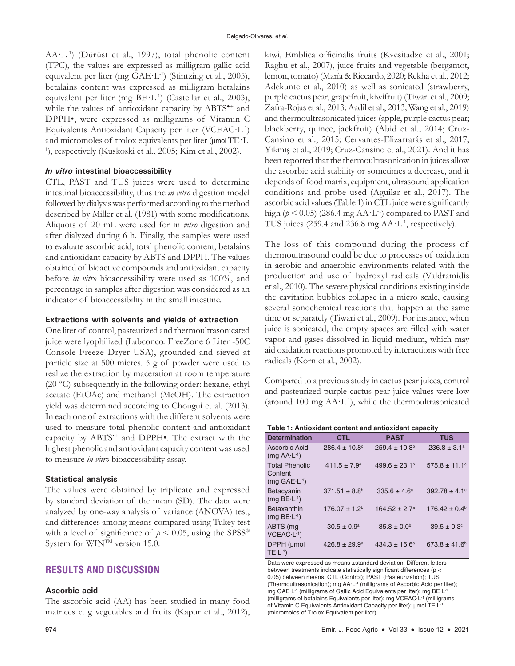AA·L-1) (Dürüst et al., 1997), total phenolic content (TPC), the values are expressed as milligram gallic acid equivalent per liter (mg GAE·L-1) (Stintzing et al., 2005), betalains content was expressed as milligram betalains equivalent per liter (mg BE·L-1) (Castellar et al., 2003), while the values of antioxidant capacity by ABTS<sup>\*+</sup> and DPPH•, were expressed as milligrams of Vitamin C Equivalents Antioxidant Capacity per liter (VCEAC·L-1) and micromoles of trolox equivalents per liter ( $\mu$ mol TE·L-<sup>1</sup>), respectively (Kuskoski et al., 2005; Kim et al., 2002).

## *In vitro* **intestinal bioaccessibility**

CTL, PAST and TUS juices were used to determine intestinal bioaccessibility, thus the *in vitro* digestion model followed by dialysis was performed according to the method described by Miller et al. (1981) with some modifications. Aliquots of 20 mL were used for in *vitro* digestion and after dialyzed during 6 h. Finally, the samples were used to evaluate ascorbic acid, total phenolic content, betalains and antioxidant capacity by ABTS and DPPH. The values obtained of bioactive compounds and antioxidant capacity before *in vitro* bioaccessibility were used as 100%, and percentage in samples after digestion was considered as an indicator of bioaccessibility in the small intestine.

## **Extractions with solvents and yields of extraction**

One liter of control, pasteurized and thermoultrasonicated juice were lyophilized (Labconco. FreeZone 6 Liter -50C Console Freeze Dryer USA), grounded and sieved at particle size at 500 micres. 5 g of powder were used to realize the extraction by maceration at room temperature (20 °C) subsequently in the following order: hexane, ethyl acetate (EtOAc) and methanol (MeOH). The extraction yield was determined according to Chougui et al. (2013). In each one of extractions with the different solvents were used to measure total phenolic content and antioxidant capacity by ABTS•+ and DPPH•. The extract with the highest phenolic and antioxidant capacity content was used to measure *in vitro* bioaccessibility assay.

## **Statistical analysis**

The values were obtained by triplicate and expressed by standard deviation of the mean (SD). The data were analyzed by one-way analysis of variance (ANOVA) test, and differences among means compared using Tukey test with a level of significance of  $p < 0.05$ , using the SPSS<sup>®</sup> System for WIN<sup>TM</sup> version 15.0.

## **RESULTS AND DISCUSSION**

#### **Ascorbic acid**

The ascorbic acid (AA) has been studied in many food matrices e. g vegetables and fruits (Kapur et al., 2012),

kiwi, Emblica officinalis fruits (Kvesitadze et al., 2001; Raghu et al., 2007), juice fruits and vegetable (bergamot, lemon, tomato) (María & Riccardo, 2020; Rekha et al., 2012; Adekunte et al., 2010) as well as sonicated (strawberry, purple cactus pear, grapefruit, kiwifruit) (Tiwari et al., 2009; Zafra-Rojas et al., 2013; Aadil et al., 2013; Wang et al., 2019) and thermoultrasonicated juices (apple, purple cactus pear; blackberry, quince, jackfruit) (Abid et al., 2014; Cruz-Cansino et al., 2015; Cervantes-Elizarrarás et al., 2017; Yıkmış et al., 2019; Cruz-Cansino et al., 2021). And it has been reported that the thermoultrasonication in juices allow the ascorbic acid stability or sometimes a decrease, and it depends of food matrix, equipment, ultrasound application conditions and probe used (Aguilar et al., 2017). The ascorbic acid values (Table 1) in CTL juice were significantly high ( $p < 0.05$ ) (286.4 mg AA·L<sup>-1</sup>) compared to PAST and TUS juices (259.4 and 236.8 mg  $AA·L<sup>-1</sup>$ , respectively).

The loss of this compound during the process of thermoultrasound could be due to processes of oxidation in aerobic and anaerobic environments related with the production and use of hydroxyl radicals (Valdramidis et al., 2010). The severe physical conditions existing inside the cavitation bubbles collapse in a micro scale, causing several sonochemical reactions that happen at the same time or separately (Tiwari et al., 2009). For instance, when juice is sonicated, the empty spaces are filled with water vapor and gases dissolved in liquid medium, which may aid oxidation reactions promoted by interactions with free radicals (Korn et al., 2002).

Compared to a previous study in cactus pear juices, control and pasteurized purple cactus pear juice values were low (around 100 mg AA·L-1), while the thermoultrasonicated

| Table 1: Antioxidant content and antioxidant capacity |  |
|-------------------------------------------------------|--|
|-------------------------------------------------------|--|

| <b>Determination</b>                                  | <b>CTL</b>                    | <b>PAST</b>              | <b>TUS</b>              |
|-------------------------------------------------------|-------------------------------|--------------------------|-------------------------|
| Ascorbic Acid<br>$(mq A A \cdot L^{-1})$              | $286.4 \pm 10.8$ <sup>c</sup> | $259.4 \pm 10.8^{\circ}$ | $236.8 \pm 3.1^{\circ}$ |
| <b>Total Phenolic</b><br>Content<br>$(mq GAE·L^{-1})$ | $411.5 \pm 7.9^a$             | $499.6 \pm 23.1^{\circ}$ | $575.8 \pm 11.1$ °      |
| <b>Betacyanin</b><br>$(mg BE·L-1)$                    | $371.51 \pm 8.8^{\circ}$      | $335.6 \pm 4.6^{\circ}$  | $392.78 \pm 4.1$ °      |
| <b>Betaxanthin</b><br>$(mq BE·L-1)$                   | $176.07 \pm 1.2^b$            | $164.52 \pm 2.7^{\circ}$ | $176.42 \pm 0.4^b$      |
| ABTS (mg<br>$VCEAC·L-1$                               | $30.5 \pm 0.9^{\circ}$        | $35.8 \pm 0.0^{\circ}$   | $39.5 \pm 0.3$ °        |
| DPPH (µmol<br>$TE \cdot L^{-1}$                       | $426.8 \pm 29.9^{\circ}$      | $434.3 \pm 16.6^a$       | $673.8 \pm 41.6^b$      |

Data were expressed as means ±standard deviation. Different letters between treatments indicate statistically significant differences (p < 0.05) between means. CTL (Control); PAST (Pasteurization); TUS (Thermoultrasonication); mg AA·L-1 (milligrams of Ascorbic Acid per liter); mg GAE·L-1 (milligrams of Gallic Acid Equivalents per liter); mg BE·L-1 (milligrams of betalains Equivalents per liter); mg VCEAC·L-1 (milligrams of Vitamin C Equivalents Antioxidant Capacity per liter); µmol TE·L-1 (micromoles of Trolox Equivalent per liter).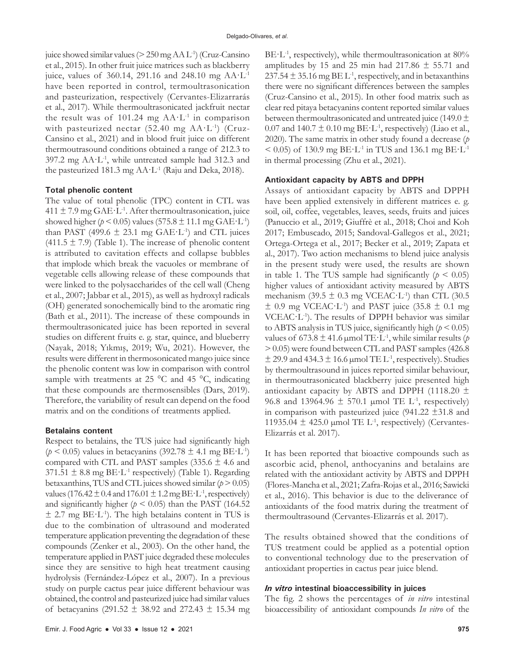juice showed similar values ( $>$  250 mg AA L<sup>-1</sup>) (Cruz-Cansino et al., 2015). In other fruit juice matrices such as blackberry juice, values of 360.14, 291.16 and 248.10 mg AA·L-1 have been reported in control, termoultrasonication and pasteurization, respectively (Cervantes-Elizarrarás et al., 2017). While thermoultrasonicated jackfruit nectar the result was of 101.24 mg  $AA·L<sup>-1</sup>$  in comparison with pasteurized nectar  $(52.40 \text{ mg } AA \cdot L^{-1})$  (Cruz-Cansino et al., 2021) and in blood fruit juice on different thermoutrasound conditions obtained a range of 212.3 to 397.2 mg AA·L-1, while untreated sample had 312.3 and the pasteurized 181.3 mg AA·L-1 (Raju and Deka, 2018).

#### **Total phenolic content**

The value of total phenolic (TPC) content in CTL was  $411 \pm 7.9$  mg GAE·L<sup>-1</sup>. After thermoultrasonication, juice showed higher ( $p < 0.05$ ) values (575.8  $\pm$  11.1 mg GAE·L<sup>-1</sup>) than PAST (499.6  $\pm$  23.1 mg GAE·L<sup>-1</sup>) and CTL juices (411.5  $\pm$  7.9) (Table 1). The increase of phenolic content is attributed to cavitation effects and collapse bubbles that implode which break the vacuoles or membrane of vegetable cells allowing release of these compounds that were linked to the polysaccharides of the cell wall (Cheng et al., 2007; Jabbar et al., 2015), as well as hydroxyl radicals (OH) generated sonochemically bind to the aromatic ring (Bath et al., 2011). The increase of these compounds in thermoultrasonicated juice has been reported in several studies on different fruits e. g. star, quince, and blueberry (Nayak, 2018; Yıkmış, 2019; Wu, 2021). However, the results were different in thermosonicated mango juice since the phenolic content was low in comparison with control sample with treatments at 25  $^{\circ}$ C and 45  $^{\circ}$ C, indicating that these compounds are thermosensibles (Dars, 2019). Therefore, the variability of result can depend on the food matrix and on the conditions of treatments applied.

#### **Betalains content**

Respect to betalains, the TUS juice had significantly high  $(p < 0.05)$  values in betacyanins (392.78  $\pm$  4.1 mg BE·L<sup>-1</sup>) compared with CTL and PAST samples  $(335.6 \pm 4.6 \text{ and }$  $371.51 \pm 8.8$  mg BE·L<sup>-1</sup> respectively) (Table 1). Regarding betaxanthins, TUS and CTL juices showed similar  $(p > 0.05)$ values (176.42  $\pm$  0.4 and 176.01  $\pm$  1.2 mg BE·L<sup>-1</sup>, respectively) and significantly higher ( $p < 0.05$ ) than the PAST (164.52)  $\pm$  2.7 mg BE·L<sup>-1</sup>). The high betalains content in TUS is due to the combination of ultrasound and moderated temperature application preventing the degradation of these compounds (Zenker et al., 2003). On the other hand, the temperature applied in PAST juice degraded these molecules since they are sensitive to high heat treatment causing hydrolysis (Fernández-López et al., 2007). In a previous study on purple cactus pear juice different behaviour was obtained, the control and pasteurized juice had similar values of betacyanins (291.52  $\pm$  38.92 and 272.43  $\pm$  15.34 mg  $BE·L<sup>-1</sup>$ , respectively), while thermoultrasonication at 80% amplitudes by 15 and 25 min had 217.86  $\pm$  55.71 and  $237.54 \pm 35.16$  mg BE L<sup>-1</sup>, respectively, and in betaxanthins there were no significant differences between the samples (Cruz-Cansino et al., 2015). In other food matrix such as clear red pitaya betacyanins content reported similar values between thermoultrasonicated and untreated juice (149.0  $\pm$ 0.07 and 140.7  $\pm$  0.10 mg BE·L<sup>1</sup>, respectively) (Liao et al., 2020). The same matrix in other study found a decrease (*p*  $<$  0.05) of 130.9 mg BE·L<sup>-1</sup> in TUS and 136.1 mg BE·L<sup>-1</sup> in thermal processing (Zhu et al., 2021).

## **Antioxidant capacity by ABTS and DPPH**

Assays of antioxidant capacity by ABTS and DPPH have been applied extensively in different matrices e. g. soil, oil, coffee, vegetables, leaves, seeds, fruits and juices (Panuccio et al., 2019; Giuffrè et al., 2018; Choi and Koh 2017; Embuscado, 2015; Sandoval-Gallegos et al., 2021; Ortega-Ortega et al., 2017; Becker et al., 2019; Zapata et al., 2017). Two action mechanisms to blend juice analysis in the present study were used, the results are shown in table 1. The TUS sample had significantly  $(p < 0.05)$ higher values of antioxidant activity measured by ABTS mechanism (39.5  $\pm$  0.3 mg VCEAC·L<sup>-1</sup>) than CTL (30.5  $\pm$  0.9 mg VCEAC·L<sup>-1</sup>) and PAST juice (35.8  $\pm$  0.1 mg VCEAC $\cdot$ L<sup>-1</sup>). The results of DPPH behavior was similar to ABTS analysis in TUS juice, significantly high  $(p < 0.05)$ values of  $673.8 \pm 41.6$  µmol TE·L<sup>-1</sup>, while similar results (*p* > 0.05) were found between CTL and PAST samples (426.8  $\pm$  29.9 and 434.3  $\pm$  16.6 µmol TE L<sup>-1</sup>, respectively). Studies by thermoultrasound in juices reported similar behaviour, in thermoutrasonicated blackberry juice presented high antioxidant capacity by ABTS and DPPH (1118.20  $\pm$ 96.8 and 13964.96  $\pm$  570.1 µmol TE L<sup>-1</sup>, respectively) in comparison with pasteurized juice  $(941.22 \pm 31.8)$  and 11935.04  $\pm$  425.0 µmol TE L<sup>-1</sup>, respectively) (Cervantes-Elizarrás et al. 2017).

It has been reported that bioactive compounds such as ascorbic acid, phenol, anthocyanins and betalains are related with the antioxidant activity by ABTS and DPPH (Flores-Mancha et al., 2021; Zafra-Rojas et al., 2016; Sawicki et al., 2016). This behavior is due to the deliverance of antioxidants of the food matrix during the treatment of thermoultrasound (Cervantes-Elizarrás et al. 2017).

The results obtained showed that the conditions of TUS treatment could be applied as a potential option to conventional technology due to the preservation of antioxidant properties in cactus pear juice blend.

#### *In vitro* **intestinal bioaccessibility in juices**

The fig. 2 shows the percentages of *in vitro* intestinal bioaccessibility of antioxidant compounds *In vitro* of the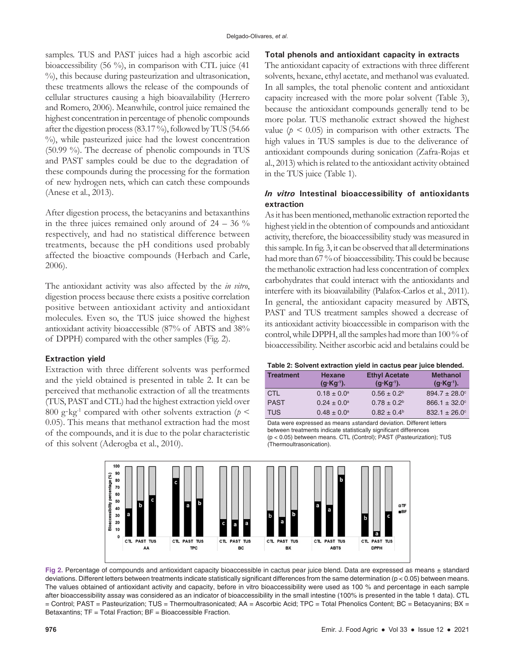samples. TUS and PAST juices had a high ascorbic acid bioaccessibility (56 %), in comparison with CTL juice (41 %), this because during pasteurization and ultrasonication, these treatments allows the release of the compounds of cellular structures causing a high bioavailability (Herrero and Romero, 2006). Meanwhile, control juice remained the highest concentration in percentage of phenolic compounds after the digestion process (83.17 %), followed by TUS (54.66 %), while pasteurized juice had the lowest concentration (50.99 %). The decrease of phenolic compounds in TUS and PAST samples could be due to the degradation of these compounds during the processing for the formation of new hydrogen nets, which can catch these compounds (Anese et al., 2013).

After digestion process, the betacyanins and betaxanthins in the three juices remained only around of  $24 - 36\%$ respectively, and had no statistical difference between treatments, because the pH conditions used probably affected the bioactive compounds (Herbach and Carle, 2006).

The antioxidant activity was also affected by the *in vitro*, digestion process because there exists a positive correlation positive between antioxidant activity and antioxidant molecules. Even so, the TUS juice showed the highest antioxidant activity bioaccessible (87% of ABTS and 38% of DPPH) compared with the other samples (Fig. 2).

#### **Extraction yield**

Extraction with three different solvents was performed and the yield obtained is presented in table 2. It can be perceived that methanolic extraction of all the treatments (TUS, PAST and CTL) had the highest extraction yield over 800 g·kg<sup>-1</sup> compared with other solvents extraction ( $p$  < 0.05). This means that methanol extraction had the most of the compounds, and it is due to the polar characteristic of this solvent (Aderogba et al., 2010).

#### **Total phenols and antioxidant capacity in extracts**

The antioxidant capacity of extractions with three different solvents, hexane, ethyl acetate, and methanol was evaluated. In all samples, the total phenolic content and antioxidant capacity increased with the more polar solvent (Table 3), because the antioxidant compounds generally tend to be more polar. TUS methanolic extract showed the highest value ( $p < 0.05$ ) in comparison with other extracts. The high values in TUS samples is due to the deliverance of antioxidant compounds during sonication (Zafra-Rojas et al., 2013) which is related to the antioxidant activity obtained in the TUS juice (Table 1).

# *In vitro* **Intestinal bioaccessibility of antioxidants extraction**

As it has been mentioned, methanolic extraction reported the highest yield in the obtention of compounds and antioxidant activity, therefore, the bioaccessibility study was measured in this sample. In fig. 3, it can be observed that all determinations had more than 67 % of bioaccessibility. This could be because the methanolic extraction had less concentration of complex carbohydrates that could interact with the antioxidants and interfere with its bioavailability (Palafox-Carlos et al., 2011). In general, the antioxidant capacity measured by ABTS, PAST and TUS treatment samples showed a decrease of its antioxidant activity bioaccessible in comparison with the control, while DPPH, all the samples had more than 100 % of bioaccessibility. Neither ascorbic acid and betalains could be

#### **Table 2: Solvent extraction yield in cactus pear juice blended.**

| <b>Treatment</b> | <b>Hexane</b><br>$(q-Kq^{-1})$ . | <b>Ethyl Acetate</b><br>$(g Kg^{-1})$ . | <b>Methanol</b><br>$(q$ $Kq^{-1})$ . |
|------------------|----------------------------------|-----------------------------------------|--------------------------------------|
| <b>CTL</b>       | $0.18 \pm 0.0^a$                 | $0.56 \pm 0.2^b$                        | $894.7 \pm 28.0^{\circ}$             |
| <b>PAST</b>      | $0.24 \pm 0.0^{\circ}$           | $0.78 \pm 0.2^b$                        | $866.1 \pm 32.0^{\circ}$             |
| <b>TUS</b>       | $0.48 \pm 0.0^a$                 | $0.82 \pm 0.4^{\circ}$                  | $832.1 \pm 26.0^{\circ}$             |

Data were expressed as means ±standard deviation. Different letters between treatments indicate statistically significant differences (p < 0.05) between means. CTL (Control); PAST (Pasteurization); TUS (Thermoultrasonication).



**Fig 2.** Percentage of compounds and antioxidant capacity bioaccessible in cactus pear juice blend. Data are expressed as means ± standard deviations. Different letters between treatments indicate statistically significant differences from the same determination (p < 0.05) between means. The values obtained of antioxidant activity and capacity, before in vitro bioaccessibility were used as 100 % and percentage in each sample after bioaccessibility assay was considered as an indicator of bioaccessibility in the small intestine (100% is presented in the table 1 data). CTL = Control; PAST = Pasteurization; TUS = Thermoultrasonicated; AA = Ascorbic Acid; TPC = Total Phenolics Content; BC = Betacyanins; BX = Betaxantins; TF = Total Fraction; BF = Bioaccessible Fraction.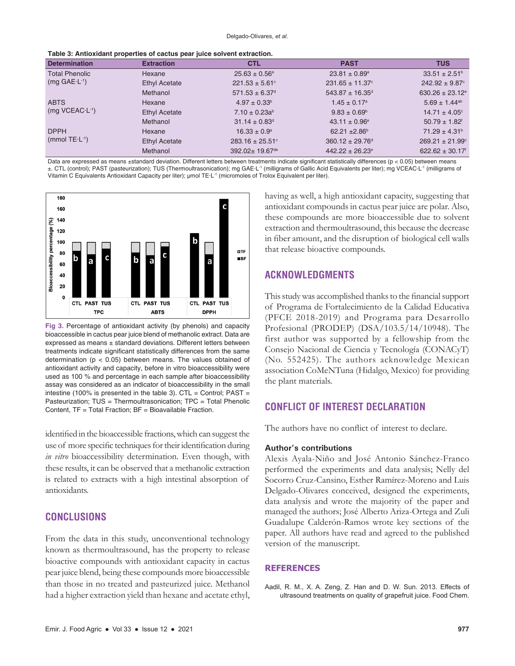| <b>Determination</b>                        | <u>, and a critical matrix biological at another boat failed agriculture average in </u><br><b>Extraction</b> | <b>CTL</b>                     | <b>PAST</b>                     | <b>TUS</b>                      |
|---------------------------------------------|---------------------------------------------------------------------------------------------------------------|--------------------------------|---------------------------------|---------------------------------|
| <b>Total Phenolic</b><br>$(mg GAE·L-1)$     | Hexane                                                                                                        | $25.63 \pm 0.56^a$             | $23.81 \pm 0.89^{\circ}$        | $33.51 \pm 2.51^{\circ}$        |
|                                             | Ethyl Acetate                                                                                                 | $221.53 \pm 5.61$ °            | $231.65 \pm 11.37$ °            | $242.92 \pm 9.87$ °             |
|                                             | Methanol                                                                                                      | $571.53 \pm 6.37$ <sup>d</sup> | $543.87 \pm 16.35$ <sup>d</sup> | $630.26 \pm 23.12$ <sup>e</sup> |
| <b>ABTS</b><br>$(mq$ VCEAC L <sup>1</sup> ) | Hexane                                                                                                        | $4.97 \pm 0.33^b$              | $1.45 \pm 0.17$ <sup>a</sup>    | $5.69 \pm 1.44$ <sup>ab</sup>   |
|                                             | Ethyl Acetate                                                                                                 | $7.10 \pm 0.23a^{b}$           | $9.83 \pm 0.69^{\circ}$         | $14.71 \pm 4.05$ °              |
|                                             | Methanol                                                                                                      | $31.14 \pm 0.83$ <sup>d</sup>  | $43.11 \pm 0.96^{\circ}$        | $50.79 \pm 1.82$ <sup>f</sup>   |
| <b>DPPH</b><br>(mmol $TE \cdot L^{-1}$ )    | Hexane                                                                                                        | $16.33 \pm 0.9^{\circ}$        | $62.21 \pm 2.86^{\circ}$        | $71.29 \pm 4.31^b$              |
|                                             | <b>Ethyl Acetate</b>                                                                                          | $283.16 \pm 25.51$ °           | $360.12 \pm 29.76^d$            | $269.21 \pm 21.99$ <sup>c</sup> |
|                                             | Methanol                                                                                                      | 392.02± 19.67 <sup>de</sup>    | $442.22 \pm 26.23$ <sup>e</sup> | $622.62 \pm 30.17$ <sup>f</sup> |

Data are expressed as means ±standard deviation. Different letters between treatments indicate significant statistically differences (p < 0.05) between means ±. CTL (control); PAST (pasteurization); TUS (Thermoultrasonication); mg GAE·L-1 (milligrams of Gallic Acid Equivalents per liter); mg VCEAC·L-1 (milligrams of Vitamin C Equivalents Antioxidant Capacity per liter); µmol TE·L-1 (micromoles of Trolox Equivalent per liter).



**Fig 3.** Percentage of antioxidant activity (by phenols) and capacity bioaccessible in cactus pear juice blend of methanolic extract. Data are expressed as means ± standard deviations. Different letters between treatments indicate significant statistically differences from the same determination ( $p < 0.05$ ) between means. The values obtained of antioxidant activity and capacity, before in vitro bioaccessibility were used as 100 % and percentage in each sample after bioaccessibility assay was considered as an indicator of bioaccessibility in the small intestine (100% is presented in the table 3). CTL = Control;  $PAST =$ Pasteurization; TUS = Thermoultrasonication; TPC = Total Phenolic Content, TF = Total Fraction; BF = Bioavailable Fraction.

identified in the bioaccessible fractions, which can suggest the use of more specific techniques for their identification during *in vitro* bioaccessibility determination. Even though, with these results, it can be observed that a methanolic extraction is related to extracts with a high intestinal absorption of antioxidants.

# **CONCLUSIONS**

From the data in this study, unconventional technology known as thermoultrasound, has the property to release bioactive compounds with antioxidant capacity in cactus pear juice blend, being these compounds more bioaccessible than those in no treated and pasteurized juice. Methanol had a higher extraction yield than hexane and acetate ethyl, having as well, a high antioxidant capacity, suggesting that antioxidant compounds in cactus pear juice are polar. Also, these compounds are more bioaccessible due to solvent extraction and thermoultrasound, this because the decrease in fiber amount, and the disruption of biological cell walls that release bioactive compounds.

## **ACKNOWLEDGMENTS**

This study was accomplished thanks to the financial support of Programa de Fortalecimiento de la Calidad Educativa (PFCE 2018-2019) and Programa para Desarrollo Profesional (PRODEP) (DSA/103.5/14/10948). The first author was supported by a fellowship from the Consejo Nacional de Ciencia y Tecnología (CONACyT) (No. 552425). The authors acknowledge Mexican association CoMeNTuna (Hidalgo, Mexico) for providing the plant materials.

# **CONFLICT OF INTEREST DECLARATION**

The authors have no conflict of interest to declare.

#### **Author's contributions**

Alexis Ayala-Niño and José Antonio Sánchez-Franco performed the experiments and data analysis; Nelly del Socorro Cruz-Cansino, Esther Ramírez-Moreno and Luis Delgado-Olivares conceived, designed the experiments, data analysis and wrote the majority of the paper and managed the authors; José Alberto Ariza-Ortega and Zuli Guadalupe Calderón-Ramos wrote key sections of the paper. All authors have read and agreed to the published version of the manuscript.

#### **REFERENCES**

Aadil, R. M., X. A. Zeng, Z. Han and D. W. Sun. 2013. Effects of ultrasound treatments on quality of grapefruit juice. Food Chem.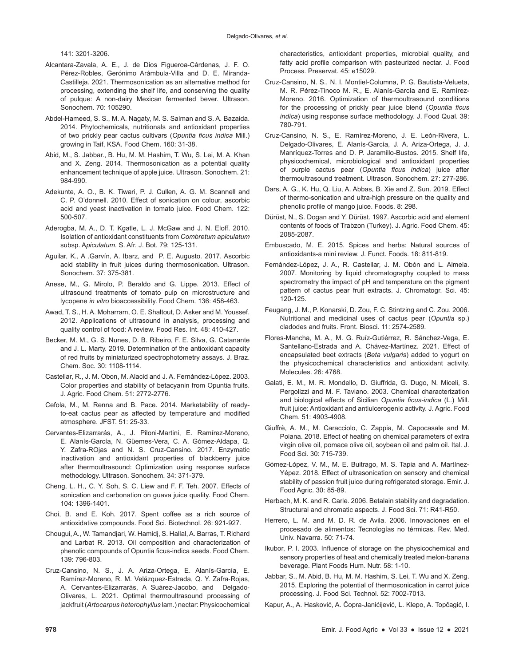141: 3201-3206.

- Alcantara-Zavala, A. E., J. de Dios Figueroa-Cárdenas, J. F. O. Pérez-Robles, Gerónimo Arámbula-Villa and D. E. Miranda-Castilleja. 2021. Thermosonication as an alternative method for processing, extending the shelf life, and conserving the quality of pulque: A non-dairy Mexican fermented bever. Ultrason. Sonochem. 70: 105290.
- Abdel-Hameed, S. S., M. A. Nagaty, M. S. Salman and S. A. Bazaida. 2014. Phytochemicals, nutritionals and antioxidant properties of two prickly pear cactus cultivars (*Opuntia ficus indica* Mill.) growing in Taif, KSA. Food Chem. 160: 31-38.
- Abid, M., S. Jabbar., B. Hu, M. M. Hashim, T. Wu, S. Lei, M. A. Khan and X. Zeng. 2014. Thermosonication as a potential quality enhancement technique of apple juice. Ultrason. Sonochem. 21: 984-990.
- Adekunte, A. O., B. K. Tiwari, P. J. Cullen, A. G. M. Scannell and C. P. O'donnell. 2010. Effect of sonication on colour, ascorbic acid and yeast inactivation in tomato juice. Food Chem. 122: 500-507.
- Aderogba, M. A., D. T. Kgatle, L. J. McGaw and J. N. Eloff. 2010. Isolation of antioxidant constituents from *Combretum apiculatum* subsp. A*piculatum.* S. Afr. J. Bot. 79: 125-131.
- Aguilar, K., A .Garvín, A. Ibarz, and P. E. Augusto. 2017. Ascorbic acid stability in fruit juices during thermosonication. Ultrason. Sonochem. 37: 375-381.
- Anese, M., G. Mirolo, P. Beraldo and G. Lippe. 2013. Effect of ultrasound treatments of tomato pulp on microstructure and lycopene *in vitro* bioaccessibility. Food Chem. 136: 458-463.
- Awad, T. S., H. A. Moharram, O. E. Shaltout, D. Asker and M. Youssef. 2012. Applications of ultrasound in analysis, processing and quality control of food: A review. Food Res. Int. 48: 410-427.
- Becker, M. M., G. S. Nunes, D. B. Ribeiro, F. E. Silva, G. Catanante and J. L. Marty. 2019. Determination of the antioxidant capacity of red fruits by miniaturized spectrophotometry assays. J. Braz. Chem. Soc. 30: 1108-1114.
- Castellar, R., J. M. Obon, M. Alacid and J. A. Fernández-López. 2003. Color properties and stability of betacyanin from Opuntia fruits. J. Agric. Food Chem. 51: 2772-2776.
- Cefola, M., M. Renna and B. Pace. 2014. Marketability of readyto-eat cactus pear as affected by temperature and modified atmosphere. JFST. 51: 25-33.
- Cervantes-Elizarrarás, A., J. Piloni-Martini, E. Ramírez-Moreno, E. Alanís-García, N. Güemes-Vera, C. A. Gómez-Aldapa, Q. Y. Zafra-ROjas and N. S. Cruz-Cansino. 2017. Enzymatic inactivation and antioxidant properties of blackberry juice after thermoultrasound: Optimization using response surface methodology. Ultrason. Sonochem. 34: 371-379.
- Cheng, L. H., C. Y. Soh, S. C. Liew and F. F. Teh. 2007. Effects of sonication and carbonation on guava juice quality. Food Chem. 104: 1396-1401.
- Choi, B. and E. Koh. 2017. Spent coffee as a rich source of antioxidative compounds. Food Sci. Biotechnol. 26: 921-927.
- Chougui, A., W. Tamandjari, W. Hamidj, S. Hallal, A. Barras, T. Richard and Larbat R. 2013. Oil composition and characterization of phenolic compounds of Opuntia ficus-indica seeds. Food Chem. 139: 796-803.
- Cruz-Cansino, N. S., J. A. Ariza‐Ortega, E. Alanís‐García, E. Ramírez‐Moreno, R. M. Velázquez‐Estrada, Q. Y. Zafra‐Rojas, A. Cervantes-Elizarrarás, A Suárez-Jacobo, and Delgado‐ Olivares, L. 2021. Optimal thermoultrasound processing of jackfruit (*Artocarpus heterophyllus* lam.) nectar: Physicochemical

characteristics, antioxidant properties, microbial quality, and fatty acid profile comparison with pasteurized nectar. J. Food Process. Preservat. 45: e15029.

- Cruz-Cansino, N. S., N. I. Montiel-Columna, P. G. Bautista-Velueta, M. R. Pérez-Tinoco M. R., E. Alanís-García and E. Ramírez-Moreno. 2016. Optimization of thermoultrasound conditions for the processing of prickly pear juice blend (*Opuntia ficus indica*) using response surface methodology. J. Food Qual. 39: 780-791.
- Cruz-Cansino, N. S., E. Ramírez-Moreno, J. E. León-Rivera, L. Delgado-Olivares, E. Alanís-García, J. A. Ariza-Ortega, J. J. Manríquez-Torres and D. P. Jaramillo-Bustos. 2015. Shelf life, physicochemical, microbiological and antioxidant properties of purple cactus pear (*Opuntia ficus indica*) juice after thermoultrasound treatment. Ultrason. Sonochem. 27: 277-286.
- Dars, A. G., K. Hu, Q. Liu, A. Abbas, B. Xie and Z. Sun. 2019. Effect of thermo-sonication and ultra-high pressure on the quality and phenolic profile of mango juice. Foods. 8: 298.
- Dürüst, N., S. Dogan and Y. Dürüst. 1997. Ascorbic acid and element contents of foods of Trabzon (Turkey). J. Agric. Food Chem. 45: 2085-2087.
- Embuscado, M. E. 2015. Spices and herbs: Natural sources of antioxidants-a mini review. J. Funct. Foods. 18: 811-819.
- Fernández-López, J. A., R. Castellar, J. M. Obón and L. Almela. 2007. Monitoring by liquid chromatography coupled to mass spectrometry the impact of pH and temperature on the pigment pattern of cactus pear fruit extracts. J. Chromatogr. Sci. 45: 120-125.
- Feugang, J. M., P. Konarski, D. Zou, F. C. Stintzing and C. Zou. 2006. Nutritional and medicinal uses of cactus pear (*Opuntia* sp.) cladodes and fruits. Front. Biosci. 11: 2574-2589.
- Flores-Mancha, M. A., M. G. Ruíz-Gutiérrez, R. Sánchez-Vega, E. Santellano-Estrada and A. Chávez-Martínez. 2021. Effect of encapsulated beet extracts (*Beta vulgaris*) added to yogurt on the physicochemical characteristics and antioxidant activity. Molecules. 26: 4768.
- Galati, E. M., M. R. Mondello, D. Giuffrida, G. Dugo, N. Miceli, S. Pergolizzi and M. F. Taviano. 2003. Chemical characterization and biological effects of Sicilian *Opuntia ficus-indica* (L.) Mill. fruit juice: Antioxidant and antiulcerogenic activity. J. Agric. Food Chem. 51: 4903-4908.
- Giuffrè, A. M., M. Caracciolo, C. Zappia, M. Capocasale and M. Poiana. 2018. Effect of heating on chemical parameters of extra virgin olive oil, pomace olive oil, soybean oil and palm oil. Ital. J. Food Sci. 30: 715-739.
- Gómez-López, V. M., M. E. Buitrago, M. S. Tapia and A. Martínez-Yépez. 2018. Effect of ultrasonication on sensory and chemical stability of passion fruit juice during refrigerated storage. Emir. J. Food Agric. 30: 85-89.
- Herbach, M. K. and R. Carle. 2006. Betalain stability and degradation. Structural and chromatic aspects. J. Food Sci. 71: R41-R50.
- Herrero, L. M. and M. D. R. de Avila. 2006. Innovaciones en el procesado de alimentos: Tecnologías no térmicas. Rev. Med. Univ. Navarra. 50: 71-74.
- Ikubor, P. I. 2003. Influence of storage on the physicochemical and sensory properties of heat and chemically treated melon-banana beverage. Plant Foods Hum. Nutr. 58: 1-10.
- Jabbar, S., M. Abid, B. Hu, M. M. Hashim, S. Lei, T. Wu and X. Zeng. 2015. Exploring the potential of thermosonication in carrot juice processing. J. Food Sci. Technol. 52: 7002-7013.
- Kapur, A., A. Hasković, A. Čopra-Janićijević, L. Klepo, A. Topčagić, I.